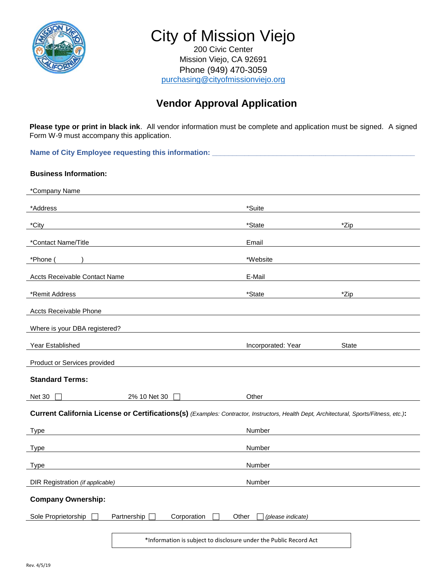

City of Mission Viejo

200 Civic Center Mission Viejo, CA 92691 Phone (949) 470-3059 [purchasing@cityofmissionviejo.org](mailto:purchasing@cityofmissionviejo.org)

## **Vendor Approval Application**

**Please type or print in black ink**. All vendor information must be complete and application must be signed. A signed Form W-9 must accompany this application.

Name of City Employee requesting this information: \_\_\_\_\_\_\_\_\_\_\_\_\_\_\_\_\_\_\_\_\_\_\_\_\_\_\_\_\_\_

# **Business Information:**

| *Company Name                                                                                                                          |                            |              |  |  |
|----------------------------------------------------------------------------------------------------------------------------------------|----------------------------|--------------|--|--|
| *Address                                                                                                                               | *Suite                     |              |  |  |
| *City                                                                                                                                  | $*$ State                  | *Zip         |  |  |
| *Contact Name/Title                                                                                                                    | Email                      |              |  |  |
| *Phone (                                                                                                                               | *Website                   |              |  |  |
| Accts Receivable Contact Name                                                                                                          | E-Mail                     |              |  |  |
| *Remit Address                                                                                                                         | *State                     | *Zip         |  |  |
| <b>Accts Receivable Phone</b>                                                                                                          |                            |              |  |  |
| Where is your DBA registered?                                                                                                          |                            |              |  |  |
| Year Established                                                                                                                       | Incorporated: Year         | <b>State</b> |  |  |
| Product or Services provided                                                                                                           |                            |              |  |  |
| <b>Standard Terms:</b>                                                                                                                 |                            |              |  |  |
| <b>Net 30</b><br>2% 10 Net 30                                                                                                          | Other                      |              |  |  |
| Current California License or Certifications(s) (Examples: Contractor, Instructors, Health Dept, Architectural, Sports/Fitness, etc.): |                            |              |  |  |
| <b>Type</b>                                                                                                                            | Number                     |              |  |  |
| <b>Type</b>                                                                                                                            | Number                     |              |  |  |
| <b>Type</b>                                                                                                                            | Number                     |              |  |  |
| DIR Registration (if applicable)                                                                                                       | Number                     |              |  |  |
| <b>Company Ownership:</b>                                                                                                              |                            |              |  |  |
| Sole Proprietorship<br>Partnership<br>Corporation<br>$\perp$                                                                           | Other<br>(please indicate) |              |  |  |
| *Information is subject to disclosure under the Public Record Act                                                                      |                            |              |  |  |